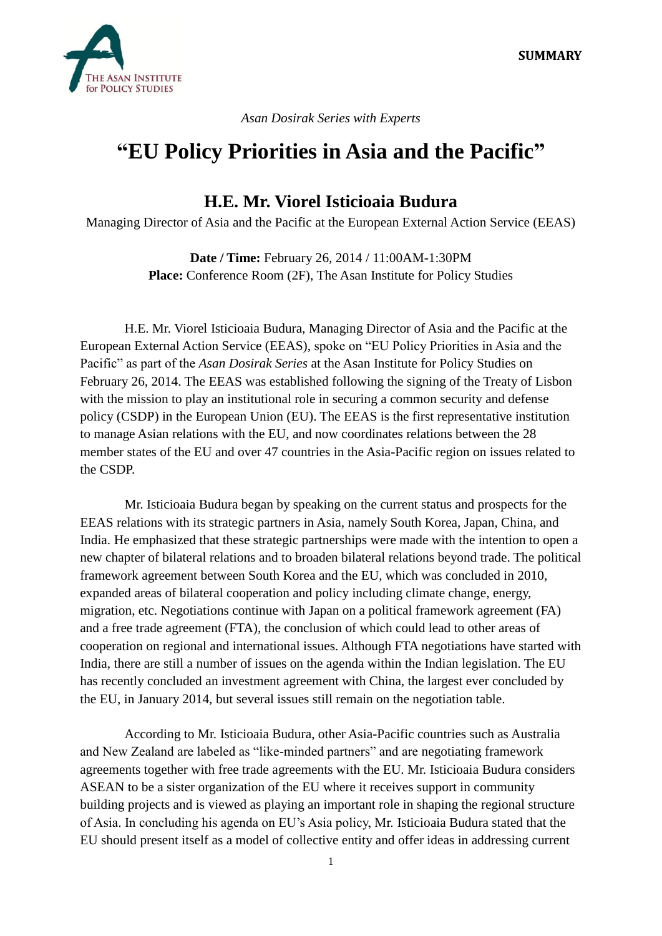

*Asan Dosirak Series with Experts*

## **"EU Policy Priorities in Asia and the Pacific"**

## **H.E. Mr. Viorel Isticioaia Budura**

Managing Director of Asia and the Pacific at the European External Action Service (EEAS)

**Date / Time:** February 26, 2014 / 11:00AM-1:30PM **Place:** Conference Room (2F), The Asan Institute for Policy Studies

H.E. Mr. Viorel Isticioaia Budura, Managing Director of Asia and the Pacific at the European External Action Service (EEAS), spoke on "EU Policy Priorities in Asia and the Pacific" as part of the *Asan Dosirak Series* at the Asan Institute for Policy Studies on February 26, 2014. The EEAS was established following the signing of the Treaty of Lisbon with the mission to play an institutional role in securing a common security and defense policy (CSDP) in the European Union (EU). The EEAS is the first representative institution to manage Asian relations with the EU, and now coordinates relations between the 28 member states of the EU and over 47 countries in the Asia-Pacific region on issues related to the CSDP.

Mr. Isticioaia Budura began by speaking on the current status and prospects for the EEAS relations with its strategic partners in Asia, namely South Korea, Japan, China, and India. He emphasized that these strategic partnerships were made with the intention to open a new chapter of bilateral relations and to broaden bilateral relations beyond trade. The political framework agreement between South Korea and the EU, which was concluded in 2010, expanded areas of bilateral cooperation and policy including climate change, energy, migration, etc. Negotiations continue with Japan on a political framework agreement (FA) and a free trade agreement (FTA), the conclusion of which could lead to other areas of cooperation on regional and international issues. Although FTA negotiations have started with India, there are still a number of issues on the agenda within the Indian legislation. The EU has recently concluded an investment agreement with China, the largest ever concluded by the EU, in January 2014, but several issues still remain on the negotiation table.

According to Mr. Isticioaia Budura, other Asia-Pacific countries such as Australia and New Zealand are labeled as "like-minded partners" and are negotiating framework agreements together with free trade agreements with the EU. Mr. Isticioaia Budura considers ASEAN to be a sister organization of the EU where it receives support in community building projects and is viewed as playing an important role in shaping the regional structure of Asia. In concluding his agenda on EU's Asia policy, Mr. Isticioaia Budura stated that the EU should present itself as a model of collective entity and offer ideas in addressing current